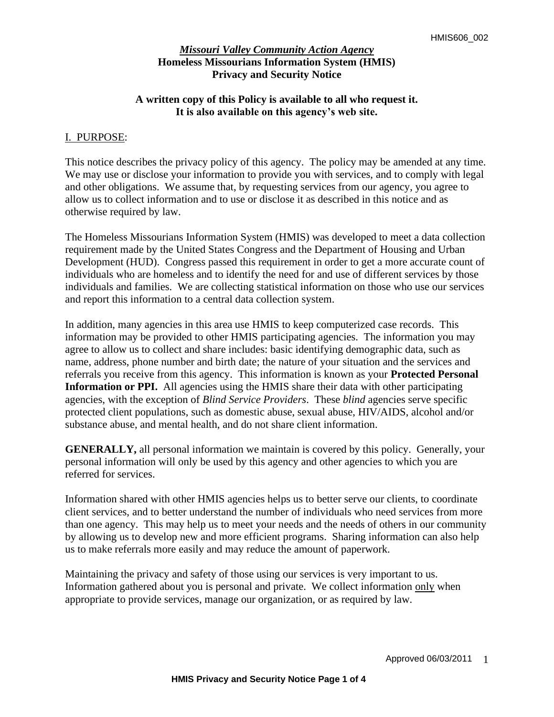# **A written copy of this Policy is available to all who request it. It is also available on this agency's web site.**

### I. PURPOSE:

This notice describes the privacy policy of this agency. The policy may be amended at any time. We may use or disclose your information to provide you with services, and to comply with legal and other obligations. We assume that, by requesting services from our agency, you agree to allow us to collect information and to use or disclose it as described in this notice and as otherwise required by law.

The Homeless Missourians Information System (HMIS) was developed to meet a data collection requirement made by the United States Congress and the Department of Housing and Urban Development (HUD). Congress passed this requirement in order to get a more accurate count of individuals who are homeless and to identify the need for and use of different services by those individuals and families. We are collecting statistical information on those who use our services and report this information to a central data collection system.

In addition, many agencies in this area use HMIS to keep computerized case records. This information may be provided to other HMIS participating agencies. The information you may agree to allow us to collect and share includes: basic identifying demographic data, such as name, address, phone number and birth date; the nature of your situation and the services and referrals you receive from this agency. This information is known as your **Protected Personal**  Information or PPI. All agencies using the HMIS share their data with other participating agencies, with the exception of *Blind Service Providers*. These *blind* agencies serve specific protected client populations, such as domestic abuse, sexual abuse, HIV/AIDS, alcohol and/or substance abuse, and mental health, and do not share client information.

**GENERALLY,** all personal information we maintain is covered by this policy. Generally, your personal information will only be used by this agency and other agencies to which you are referred for services.

Information shared with other HMIS agencies helps us to better serve our clients, to coordinate client services, and to better understand the number of individuals who need services from more than one agency. This may help us to meet your needs and the needs of others in our community by allowing us to develop new and more efficient programs. Sharing information can also help us to make referrals more easily and may reduce the amount of paperwork.

Maintaining the privacy and safety of those using our services is very important to us. Information gathered about you is personal and private. We collect information only when appropriate to provide services, manage our organization, or as required by law.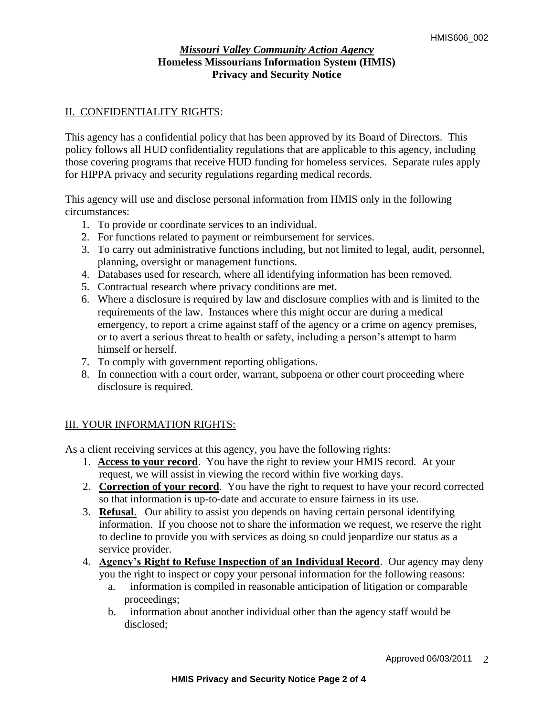# II. CONFIDENTIALITY RIGHTS:

This agency has a confidential policy that has been approved by its Board of Directors. This policy follows all HUD confidentiality regulations that are applicable to this agency, including those covering programs that receive HUD funding for homeless services. Separate rules apply for HIPPA privacy and security regulations regarding medical records.

This agency will use and disclose personal information from HMIS only in the following circumstances:

- 1. To provide or coordinate services to an individual.
- 2. For functions related to payment or reimbursement for services.
- 3. To carry out administrative functions including, but not limited to legal, audit, personnel, planning, oversight or management functions.
- 4. Databases used for research, where all identifying information has been removed.
- 5. Contractual research where privacy conditions are met.
- 6. Where a disclosure is required by law and disclosure complies with and is limited to the requirements of the law. Instances where this might occur are during a medical emergency, to report a crime against staff of the agency or a crime on agency premises, or to avert a serious threat to health or safety, including a person's attempt to harm himself or herself.
- 7. To comply with government reporting obligations.
- 8. In connection with a court order, warrant, subpoena or other court proceeding where disclosure is required.

# III. YOUR INFORMATION RIGHTS:

As a client receiving services at this agency, you have the following rights:

- 1. **Access to your record**. You have the right to review your HMIS record. At your request, we will assist in viewing the record within five working days.
- 2. **Correction of your record**. You have the right to request to have your record corrected so that information is up-to-date and accurate to ensure fairness in its use.
- 3. **Refusal**. Our ability to assist you depends on having certain personal identifying information. If you choose not to share the information we request, we reserve the right to decline to provide you with services as doing so could jeopardize our status as a service provider.
- 4. **Agency's Right to Refuse Inspection of an Individual Record**. Our agency may deny you the right to inspect or copy your personal information for the following reasons:
	- a. information is compiled in reasonable anticipation of litigation or comparable proceedings;
	- b. information about another individual other than the agency staff would be disclosed;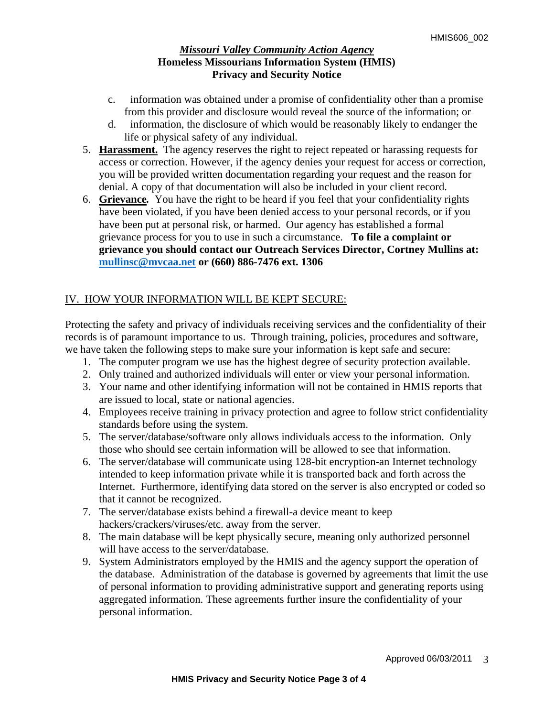- c. information was obtained under a promise of confidentiality other than a promise from this provider and disclosure would reveal the source of the information; or
- d. information, the disclosure of which would be reasonably likely to endanger the life or physical safety of any individual.
- 5. **Harassment.**The agency reserves the right to reject repeated or harassing requests for access or correction. However, if the agency denies your request for access or correction, you will be provided written documentation regarding your request and the reason for denial. A copy of that documentation will also be included in your client record.
- 6. **Grievance***.* You have the right to be heard if you feel that your confidentiality rights have been violated, if you have been denied access to your personal records, or if you have been put at personal risk, or harmed. Our agency has established a formal grievance process for you to use in such a circumstance.**To file a complaint or grievance you should contact our Outreach Services Director, Cortney Mullins at: [mullinsc@mvcaa.net](mailto:mullinsc@mvcaa.net) or (660) 886-7476 ext. 1306**

# IV. HOW YOUR INFORMATION WILL BE KEPT SECURE:

Protecting the safety and privacy of individuals receiving services and the confidentiality of their records is of paramount importance to us. Through training, policies, procedures and software, we have taken the following steps to make sure your information is kept safe and secure:

- 1. The computer program we use has the highest degree of security protection available.
- 2. Only trained and authorized individuals will enter or view your personal information.
- 3. Your name and other identifying information will not be contained in HMIS reports that are issued to local, state or national agencies.
- 4. Employees receive training in privacy protection and agree to follow strict confidentiality standards before using the system.
- 5. The server/database/software only allows individuals access to the information. Only those who should see certain information will be allowed to see that information.
- 6. The server/database will communicate using 128-bit encryption-an Internet technology intended to keep information private while it is transported back and forth across the Internet. Furthermore, identifying data stored on the server is also encrypted or coded so that it cannot be recognized.
- 7. The server/database exists behind a firewall-a device meant to keep hackers/crackers/viruses/etc. away from the server.
- 8. The main database will be kept physically secure, meaning only authorized personnel will have access to the server/database.
- 9. System Administrators employed by the HMIS and the agency support the operation of the database. Administration of the database is governed by agreements that limit the use of personal information to providing administrative support and generating reports using aggregated information. These agreements further insure the confidentiality of your personal information.